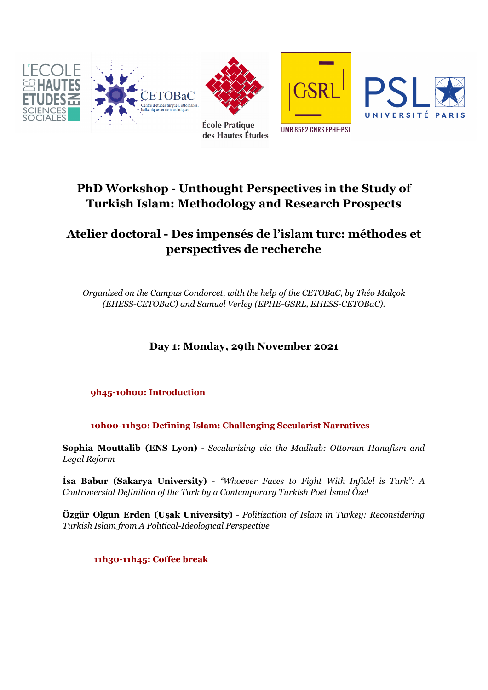

# **PhD Workshop - Unthought Perspectives in the Study of Turkish Islam: Methodology and Research Prospects**

## **Atelier doctoral - Des impensés de l'islam turc: méthodes et perspectives de recherche**

*Organized on the Campus Condorcet, with the help of the CETOBaC, by Théo Malçok (EHESS-CETOBaC) and Samuel Verley (EPHE-GSRL, EHESS-CETOBaC).*

### **Day 1: Monday, 29th November 2021**

### **9h45-10h00: Introduction**

**10h00-11h30: Defining Islam: Challenging Secularist Narratives**

**Sophia Mouttalib (ENS Lyon)** - *Secularizing via the Madhab: Ottoman Hanafism and Legal Reform*

**İsa Babur (Sakarya University)** - *"Whoever Faces to Fight With Infidel is Turk": A Controversial Definition of the Turk by a Contemporary Turkish Poet İsmel Özel*

**Özgür Olgun Erden (Uşak University)** - *Politization of Islam in Turkey: Reconsidering Turkish Islam from A Political-Ideological Perspective*

**11h30-11h45: Coffee break**